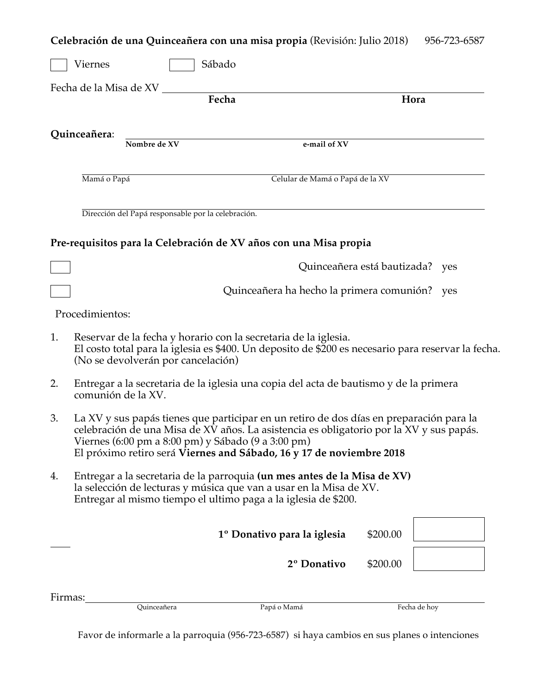| Celebración de una Quinceañera con una misa propia (Revisión: Julio 2018) 956-723-6587 |  |  |  |  |
|----------------------------------------------------------------------------------------|--|--|--|--|
|----------------------------------------------------------------------------------------|--|--|--|--|

|         | Sábado<br>Viernes                                                                                                                                                                                                                                                                                                |                                           |                                    |
|---------|------------------------------------------------------------------------------------------------------------------------------------------------------------------------------------------------------------------------------------------------------------------------------------------------------------------|-------------------------------------------|------------------------------------|
|         | Fecha de la Misa de XV                                                                                                                                                                                                                                                                                           |                                           |                                    |
|         |                                                                                                                                                                                                                                                                                                                  | Fecha                                     | Hora                               |
|         | Quinceañera:<br>Nombre de XV                                                                                                                                                                                                                                                                                     | e-mail of XV                              |                                    |
|         | Mamá o Papá                                                                                                                                                                                                                                                                                                      | Celular de Mamá o Papá de la XV           |                                    |
|         | Dirección del Papá responsable por la celebración.                                                                                                                                                                                                                                                               |                                           |                                    |
|         | Pre-requisitos para la Celebración de XV años con una Misa propia                                                                                                                                                                                                                                                |                                           |                                    |
|         |                                                                                                                                                                                                                                                                                                                  |                                           | Quinceañera está bautizada?<br>yes |
|         |                                                                                                                                                                                                                                                                                                                  | Quinceañera ha hecho la primera comunión? | yes                                |
|         | Procedimientos:                                                                                                                                                                                                                                                                                                  |                                           |                                    |
| 1.      | Reservar de la fecha y horario con la secretaria de la iglesia.<br>El costo total para la iglesia es \$400. Un deposito de \$200 es necesario para reservar la fecha.<br>(No se devolverán por cancelación)                                                                                                      |                                           |                                    |
| 2.      | Entregar a la secretaria de la iglesia una copia del acta de bautismo y de la primera<br>comunión de la XV.                                                                                                                                                                                                      |                                           |                                    |
| 3.      | La XV y sus papás tienes que participar en un retiro de dos días en preparación para la<br>celebración de una Misa de XV años. La asistencia es obligatorio por la XV y sus papás.<br>Viernes (6:00 pm a 8:00 pm) y Sábado (9 a 3:00 pm)<br>El próximo retiro será Viernes and Sábado, 16 y 17 de noviembre 2018 |                                           |                                    |
| 4.      | Entregar a la secretaria de la parroquia (un mes antes de la Misa de XV)<br>la selección de lecturas y música que van a usar en la Misa de XV.<br>Entregar al mismo tiempo el ultimo paga a la iglesia de \$200.                                                                                                 |                                           |                                    |
|         |                                                                                                                                                                                                                                                                                                                  | 1º Donativo para la iglesia               | \$200.00                           |
|         |                                                                                                                                                                                                                                                                                                                  | 2º Donativo                               | \$200.00                           |
| Firmas: |                                                                                                                                                                                                                                                                                                                  |                                           |                                    |
|         | Quinceañera                                                                                                                                                                                                                                                                                                      | Papá o Mamá                               | Fecha de hoy                       |

Favor de informarle a la parroquia (956-723-6587) si haya cambios en sus planes o intenciones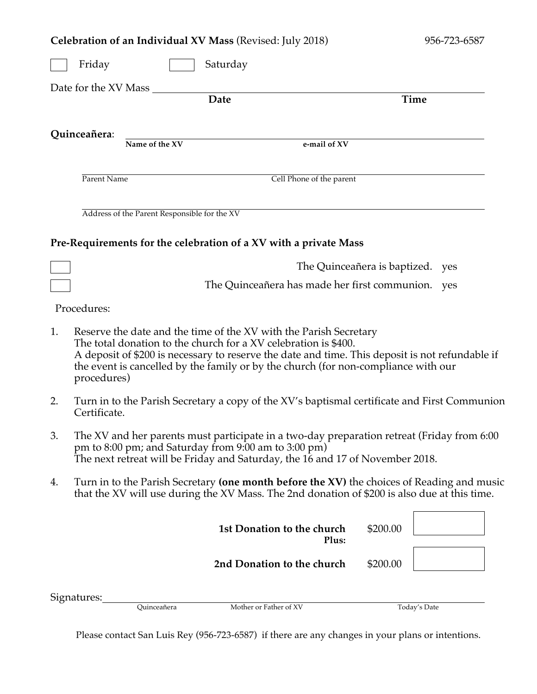|                    | Celebration of an Individual XV Mass (Revised: July 2018)<br>956-723-6587                                                                                                                                                                                                                                                                    |                                              |                                                                                                                                       |                                  |          |                                                                                              |
|--------------------|----------------------------------------------------------------------------------------------------------------------------------------------------------------------------------------------------------------------------------------------------------------------------------------------------------------------------------------------|----------------------------------------------|---------------------------------------------------------------------------------------------------------------------------------------|----------------------------------|----------|----------------------------------------------------------------------------------------------|
| Friday<br>Saturday |                                                                                                                                                                                                                                                                                                                                              |                                              |                                                                                                                                       |                                  |          |                                                                                              |
|                    | Date for the XV Mass                                                                                                                                                                                                                                                                                                                         |                                              |                                                                                                                                       |                                  |          |                                                                                              |
|                    |                                                                                                                                                                                                                                                                                                                                              |                                              | <b>Date</b>                                                                                                                           |                                  |          | Time                                                                                         |
|                    |                                                                                                                                                                                                                                                                                                                                              |                                              |                                                                                                                                       |                                  |          |                                                                                              |
|                    | Quinceañera:                                                                                                                                                                                                                                                                                                                                 |                                              |                                                                                                                                       |                                  |          |                                                                                              |
|                    |                                                                                                                                                                                                                                                                                                                                              | Name of the XV                               |                                                                                                                                       | e-mail of XV                     |          |                                                                                              |
|                    |                                                                                                                                                                                                                                                                                                                                              |                                              |                                                                                                                                       |                                  |          |                                                                                              |
|                    | Parent Name                                                                                                                                                                                                                                                                                                                                  |                                              |                                                                                                                                       | Cell Phone of the parent         |          |                                                                                              |
|                    |                                                                                                                                                                                                                                                                                                                                              |                                              |                                                                                                                                       |                                  |          |                                                                                              |
|                    |                                                                                                                                                                                                                                                                                                                                              | Address of the Parent Responsible for the XV |                                                                                                                                       |                                  |          |                                                                                              |
|                    |                                                                                                                                                                                                                                                                                                                                              |                                              |                                                                                                                                       |                                  |          |                                                                                              |
|                    |                                                                                                                                                                                                                                                                                                                                              |                                              | Pre-Requirements for the celebration of a XV with a private Mass                                                                      |                                  |          |                                                                                              |
|                    |                                                                                                                                                                                                                                                                                                                                              |                                              |                                                                                                                                       | The Quinceañera is baptized. yes |          |                                                                                              |
|                    |                                                                                                                                                                                                                                                                                                                                              |                                              | The Quinceañera has made her first communion. yes                                                                                     |                                  |          |                                                                                              |
|                    |                                                                                                                                                                                                                                                                                                                                              |                                              |                                                                                                                                       |                                  |          |                                                                                              |
|                    | Procedures:                                                                                                                                                                                                                                                                                                                                  |                                              |                                                                                                                                       |                                  |          |                                                                                              |
| 1.                 | Reserve the date and the time of the XV with the Parish Secretary<br>The total donation to the church for a XV celebration is \$400.<br>A deposit of \$200 is necessary to reserve the date and time. This deposit is not refundable if<br>the event is cancelled by the family or by the church (for non-compliance with our<br>procedures) |                                              |                                                                                                                                       |                                  |          |                                                                                              |
| 2.                 | Certificate.                                                                                                                                                                                                                                                                                                                                 |                                              |                                                                                                                                       |                                  |          | Turn in to the Parish Secretary a copy of the XV's baptismal certificate and First Communion |
| 3.                 |                                                                                                                                                                                                                                                                                                                                              |                                              | pm to 8:00 pm; and Saturday from 9:00 am to 3:00 pm)<br>The next retreat will be Friday and Saturday, the 16 and 17 of November 2018. |                                  |          | The XV and her parents must participate in a two-day preparation retreat (Friday from 6:00   |
| 4.                 |                                                                                                                                                                                                                                                                                                                                              |                                              | that the XV will use during the XV Mass. The 2nd donation of \$200 is also due at this time.                                          |                                  |          | Turn in to the Parish Secretary (one month before the XV) the choices of Reading and music   |
|                    |                                                                                                                                                                                                                                                                                                                                              |                                              | 1st Donation to the church                                                                                                            | Plus:                            | \$200.00 |                                                                                              |
|                    |                                                                                                                                                                                                                                                                                                                                              |                                              | 2nd Donation to the church                                                                                                            |                                  | \$200.00 |                                                                                              |
|                    |                                                                                                                                                                                                                                                                                                                                              |                                              |                                                                                                                                       |                                  |          |                                                                                              |
|                    | Signatures:                                                                                                                                                                                                                                                                                                                                  | Quinceañera                                  | Mother or Father of XV                                                                                                                |                                  |          | Today's Date                                                                                 |
|                    |                                                                                                                                                                                                                                                                                                                                              |                                              |                                                                                                                                       |                                  |          |                                                                                              |

Please contact San Luis Rey (956-723-6587) if there are any changes in your plans or intentions.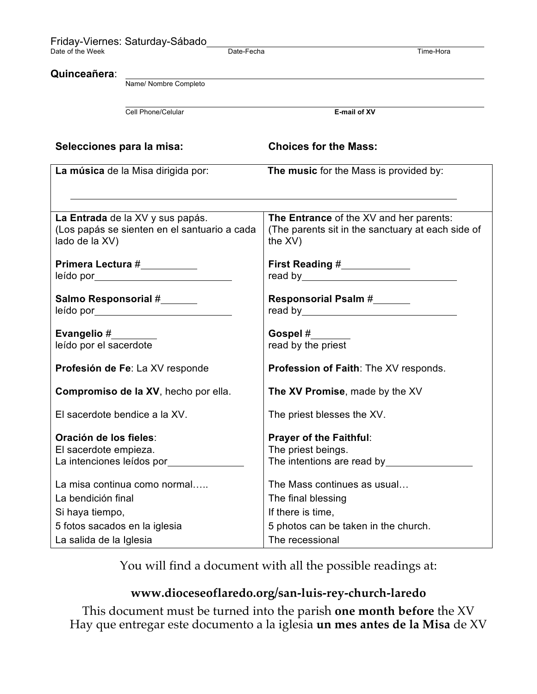|                                                                                                   | Friday-Viernes: Saturday-Sábado<br>Date-Fecha<br>Time-Hora                                                                                                                                                                        |                                                                                                                                   |  |  |
|---------------------------------------------------------------------------------------------------|-----------------------------------------------------------------------------------------------------------------------------------------------------------------------------------------------------------------------------------|-----------------------------------------------------------------------------------------------------------------------------------|--|--|
| Quinceañera:                                                                                      | Name/ Nombre Completo                                                                                                                                                                                                             |                                                                                                                                   |  |  |
|                                                                                                   | Cell Phone/Celular                                                                                                                                                                                                                | E-mail of XV                                                                                                                      |  |  |
| Selecciones para la misa:                                                                         |                                                                                                                                                                                                                                   | <b>Choices for the Mass:</b>                                                                                                      |  |  |
|                                                                                                   | La música de la Misa dirigida por:                                                                                                                                                                                                | The music for the Mass is provided by:                                                                                            |  |  |
| lado de la XV)                                                                                    | La Entrada de la XV y sus papás.<br>(Los papás se sienten en el santuario a cada<br>Primera Lectura #__________<br>leído por a contrar contrar contrar contrar contrar contrar contrar contrar contrar contrar contrar contrar co | The Entrance of the XV and her parents:<br>(The parents sit in the sanctuary at each side of<br>the XV)<br>First Reading #        |  |  |
| Salmo Responsorial #                                                                              |                                                                                                                                                                                                                                   | Responsorial Psalm #                                                                                                              |  |  |
| Evangelio #<br>leído por el sacerdote                                                             |                                                                                                                                                                                                                                   | Gospel #<br>read by the priest                                                                                                    |  |  |
| <b>Profesión de Fe: La XV responde</b>                                                            |                                                                                                                                                                                                                                   | Profession of Faith: The XV responds.                                                                                             |  |  |
|                                                                                                   | Compromiso de la XV, hecho por ella.                                                                                                                                                                                              | The XV Promise, made by the XV                                                                                                    |  |  |
| El sacerdote bendice a la XV.                                                                     |                                                                                                                                                                                                                                   | The priest blesses the XV.                                                                                                        |  |  |
| Oración de los fieles:<br>El sacerdote empieza.                                                   | La intenciones leídos por<br><u>La intenciones</u> leídos por                                                                                                                                                                     | <b>Prayer of the Faithful:</b><br>The priest beings.<br>The intentions are read by <b>the intentions</b>                          |  |  |
| La bendición final<br>Si haya tiempo,<br>5 fotos sacados en la iglesia<br>La salida de la Iglesia | La misa continua como normal                                                                                                                                                                                                      | The Mass continues as usual<br>The final blessing<br>If there is time,<br>5 photos can be taken in the church.<br>The recessional |  |  |

You will find a document with all the possible readings at:

# **www.dioceseoflaredo.org/san-luis-rey-church-laredo**

This document must be turned into the parish **one month before** the XV Hay que entregar este documento a la iglesia **un mes antes de la Misa** de XV